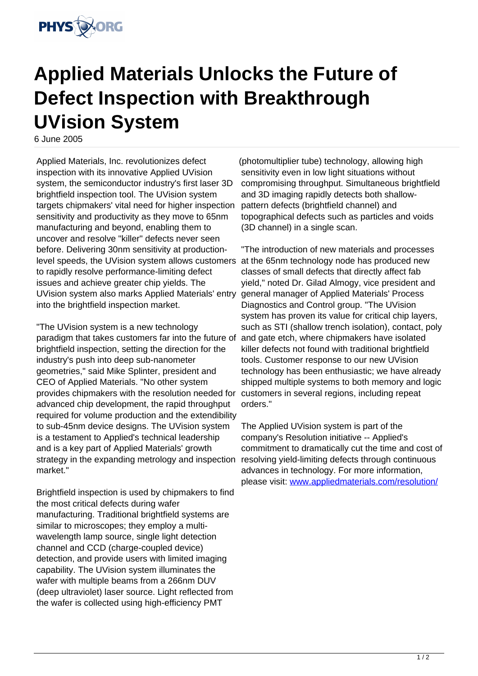

## **Applied Materials Unlocks the Future of Defect Inspection with Breakthrough UVision System**

6 June 2005

Applied Materials, Inc. revolutionizes defect inspection with its innovative Applied UVision system, the semiconductor industry's first laser 3D brightfield inspection tool. The UVision system targets chipmakers' vital need for higher inspection sensitivity and productivity as they move to 65nm manufacturing and beyond, enabling them to uncover and resolve "killer" defects never seen before. Delivering 30nm sensitivity at productionlevel speeds, the UVision system allows customers to rapidly resolve performance-limiting defect issues and achieve greater chip yields. The UVision system also marks Applied Materials' entry into the brightfield inspection market.

"The UVision system is a new technology paradigm that takes customers far into the future of brightfield inspection, setting the direction for the industry's push into deep sub-nanometer geometries," said Mike Splinter, president and CEO of Applied Materials. "No other system provides chipmakers with the resolution needed for advanced chip development, the rapid throughput required for volume production and the extendibility to sub-45nm device designs. The UVision system is a testament to Applied's technical leadership and is a key part of Applied Materials' growth strategy in the expanding metrology and inspection market."

Brightfield inspection is used by chipmakers to find the most critical defects during wafer manufacturing. Traditional brightfield systems are similar to microscopes; they employ a multiwavelength lamp source, single light detection channel and CCD (charge-coupled device) detection, and provide users with limited imaging capability. The UVision system illuminates the wafer with multiple beams from a 266nm DUV (deep ultraviolet) laser source. Light reflected from the wafer is collected using high-efficiency PMT

(photomultiplier tube) technology, allowing high sensitivity even in low light situations without compromising throughput. Simultaneous brightfield and 3D imaging rapidly detects both shallowpattern defects (brightfield channel) and topographical defects such as particles and voids (3D channel) in a single scan.

"The introduction of new materials and processes at the 65nm technology node has produced new classes of small defects that directly affect fab yield," noted Dr. Gilad Almogy, vice president and general manager of Applied Materials' Process Diagnostics and Control group. "The UVision system has proven its value for critical chip layers, such as STI (shallow trench isolation), contact, poly and gate etch, where chipmakers have isolated killer defects not found with traditional brightfield tools. Customer response to our new UVision technology has been enthusiastic; we have already shipped multiple systems to both memory and logic customers in several regions, including repeat orders."

The Applied UVision system is part of the company's Resolution initiative -- Applied's commitment to dramatically cut the time and cost of resolving yield-limiting defects through continuous advances in technology. For more information, please visit: [www.appliedmaterials.com/resolution/](http://www.appliedmaterials.com/resolution/)